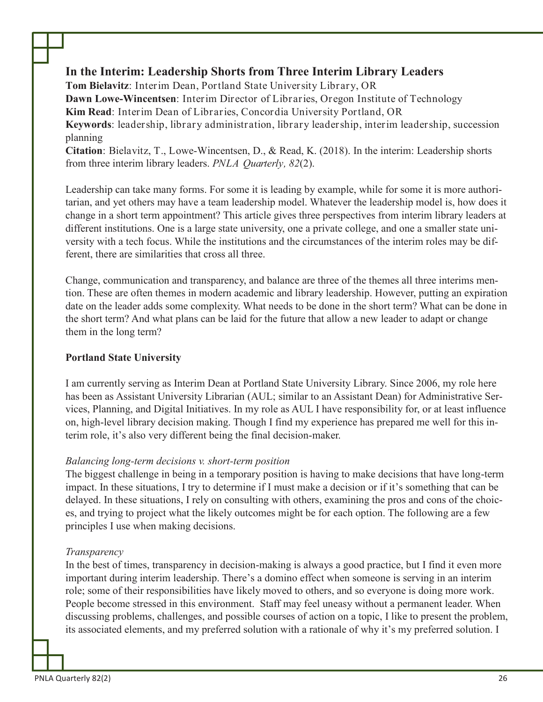# **In the Interim: Leadership Shorts from Three Interim Library Leaders**

**Tom Bielavitz**: Interim Dean, Portland State University Library, OR **Dawn Lowe-Wincentsen**: Interim Director of Libraries, Oregon Institute of Technology **Kim Read**: Interim Dean of Libraries, Concordia University Portland, OR **Keywords**: leadership, library administration, library leadership, interim leadership, succession planning

**Citation**: Bielavitz, T., Lowe-Wincentsen, D., & Read, K. (2018). In the interim: Leadership shorts from three interim library leaders. *PNLA Quarterly, 82*(2).

Leadership can take many forms. For some it is leading by example, while for some it is more authoritarian, and yet others may have a team leadership model. Whatever the leadership model is, how does it change in a short term appointment? This article gives three perspectives from interim library leaders at different institutions. One is a large state university, one a private college, and one a smaller state university with a tech focus. While the institutions and the circumstances of the interim roles may be different, there are similarities that cross all three.

Change, communication and transparency, and balance are three of the themes all three interims mention. These are often themes in modern academic and library leadership. However, putting an expiration date on the leader adds some complexity. What needs to be done in the short term? What can be done in the short term? And what plans can be laid for the future that allow a new leader to adapt or change them in the long term?

## **Portland State University**

I am currently serving as Interim Dean at Portland State University Library. Since 2006, my role here has been as Assistant University Librarian (AUL; similar to an Assistant Dean) for Administrative Services, Planning, and Digital Initiatives. In my role as AUL I have responsibility for, or at least influence on, high-level library decision making. Though I find my experience has prepared me well for this interim role, it's also very different being the final decision-maker.

#### *Balancing long-term decisions v. short-term position*

The biggest challenge in being in a temporary position is having to make decisions that have long-term impact. In these situations, I try to determine if I must make a decision or if it's something that can be delayed. In these situations, I rely on consulting with others, examining the pros and cons of the choices, and trying to project what the likely outcomes might be for each option. The following are a few principles I use when making decisions.

## *Transparency*

In the best of times, transparency in decision-making is always a good practice, but I find it even more important during interim leadership. There's a domino effect when someone is serving in an interim role; some of their responsibilities have likely moved to others, and so everyone is doing more work. People become stressed in this environment. Staff may feel uneasy without a permanent leader. When discussing problems, challenges, and possible courses of action on a topic, I like to present the problem, its associated elements, and my preferred solution with a rationale of why it's my preferred solution. I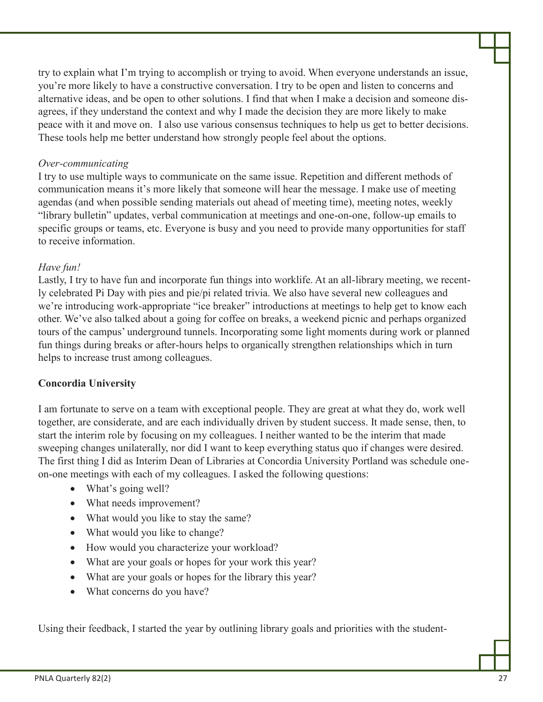try to explain what I'm trying to accomplish or trying to avoid. When everyone understands an issue, you're more likely to have a constructive conversation. I try to be open and listen to concerns and alternative ideas, and be open to other solutions. I find that when I make a decision and someone disagrees, if they understand the context and why I made the decision they are more likely to make peace with it and move on. I also use various consensus techniques to help us get to better decisions. These tools help me better understand how strongly people feel about the options.

#### *Over-communicating*

I try to use multiple ways to communicate on the same issue. Repetition and different methods of communication means it's more likely that someone will hear the message. I make use of meeting agendas (and when possible sending materials out ahead of meeting time), meeting notes, weekly "library bulletin" updates, verbal communication at meetings and one-on-one, follow-up emails to specific groups or teams, etc. Everyone is busy and you need to provide many opportunities for staff to receive information.

#### *Have fun!*

Lastly, I try to have fun and incorporate fun things into worklife. At an all-library meeting, we recently celebrated Pi Day with pies and pie/pi related trivia. We also have several new colleagues and we're introducing work-appropriate "ice breaker" introductions at meetings to help get to know each other. We've also talked about a going for coffee on breaks, a weekend picnic and perhaps organized tours of the campus' underground tunnels. Incorporating some light moments during work or planned fun things during breaks or after-hours helps to organically strengthen relationships which in turn helps to increase trust among colleagues.

#### **Concordia University**

I am fortunate to serve on a team with exceptional people. They are great at what they do, work well together, are considerate, and are each individually driven by student success. It made sense, then, to start the interim role by focusing on my colleagues. I neither wanted to be the interim that made sweeping changes unilaterally, nor did I want to keep everything status quo if changes were desired. The first thing I did as Interim Dean of Libraries at Concordia University Portland was schedule oneon-one meetings with each of my colleagues. I asked the following questions:

- What's going well?
- What needs improvement?
- What would you like to stay the same?
- What would you like to change?
- How would you characterize your workload?
- What are your goals or hopes for your work this year?
- What are your goals or hopes for the library this year?
- · What concerns do you have?

Using their feedback, I started the year by outlining library goals and priorities with the student-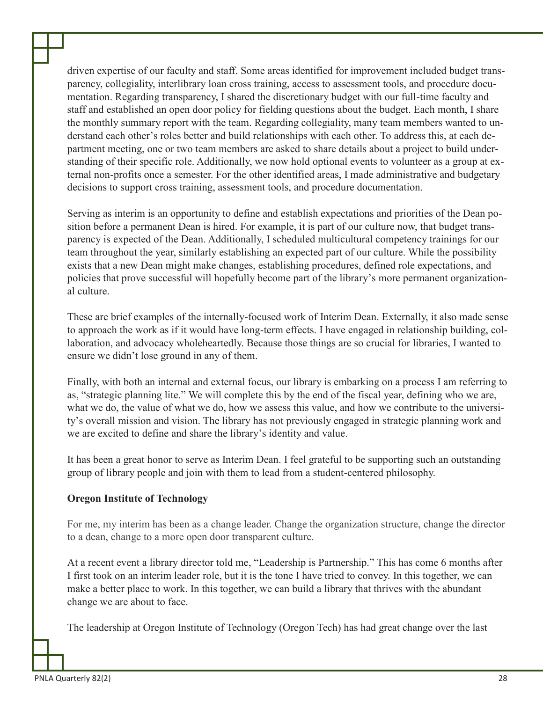driven expertise of our faculty and staff. Some areas identified for improvement included budget transparency, collegiality, interlibrary loan cross training, access to assessment tools, and procedure documentation. Regarding transparency, I shared the discretionary budget with our full-time faculty and staff and established an open door policy for fielding questions about the budget. Each month, I share the monthly summary report with the team. Regarding collegiality, many team members wanted to understand each other's roles better and build relationships with each other. To address this, at each department meeting, one or two team members are asked to share details about a project to build understanding of their specific role. Additionally, we now hold optional events to volunteer as a group at external non-profits once a semester. For the other identified areas, I made administrative and budgetary decisions to support cross training, assessment tools, and procedure documentation.

Serving as interim is an opportunity to define and establish expectations and priorities of the Dean position before a permanent Dean is hired. For example, it is part of our culture now, that budget transparency is expected of the Dean. Additionally, I scheduled multicultural competency trainings for our team throughout the year, similarly establishing an expected part of our culture. While the possibility exists that a new Dean might make changes, establishing procedures, defined role expectations, and policies that prove successful will hopefully become part of the library's more permanent organizational culture.

These are brief examples of the internally-focused work of Interim Dean. Externally, it also made sense to approach the work as if it would have long-term effects. I have engaged in relationship building, collaboration, and advocacy wholeheartedly. Because those things are so crucial for libraries, I wanted to ensure we didn't lose ground in any of them.

Finally, with both an internal and external focus, our library is embarking on a process I am referring to as, "strategic planning lite." We will complete this by the end of the fiscal year, defining who we are, what we do, the value of what we do, how we assess this value, and how we contribute to the university's overall mission and vision. The library has not previously engaged in strategic planning work and we are excited to define and share the library's identity and value.

It has been a great honor to serve as Interim Dean. I feel grateful to be supporting such an outstanding group of library people and join with them to lead from a student-centered philosophy.

## **Oregon Institute of Technology**

For me, my interim has been as a change leader. Change the organization structure, change the director to a dean, change to a more open door transparent culture.

At a recent event a library director told me, "Leadership is Partnership." This has come 6 months after I first took on an interim leader role, but it is the tone I have tried to convey. In this together, we can make a better place to work. In this together, we can build a library that thrives with the abundant change we are about to face.

The leadership at Oregon Institute of Technology (Oregon Tech) has had great change over the last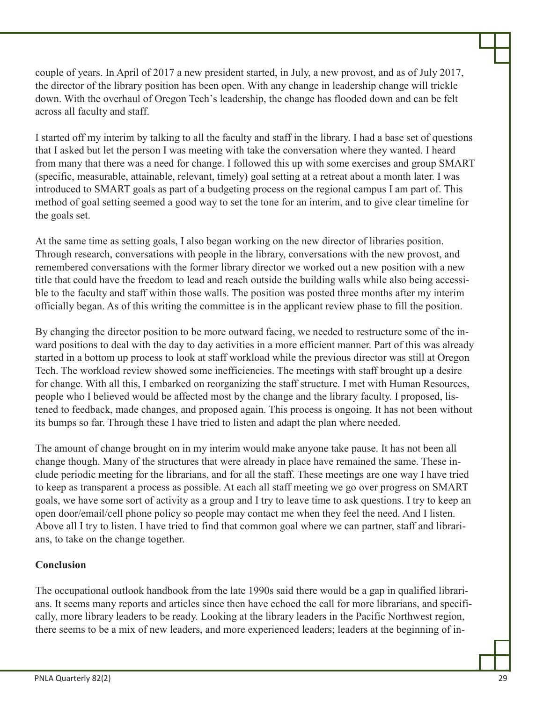couple of years. In April of 2017 a new president started, in July, a new provost, and as of July 2017, the director of the library position has been open. With any change in leadership change will trickle down. With the overhaul of Oregon Tech's leadership, the change has flooded down and can be felt across all faculty and staff.

I started off my interim by talking to all the faculty and staff in the library. I had a base set of questions that I asked but let the person I was meeting with take the conversation where they wanted. I heard from many that there was a need for change. I followed this up with some exercises and group SMART (specific, measurable, attainable, relevant, timely) goal setting at a retreat about a month later. I was introduced to SMART goals as part of a budgeting process on the regional campus I am part of. This method of goal setting seemed a good way to set the tone for an interim, and to give clear timeline for the goals set.

At the same time as setting goals, I also began working on the new director of libraries position. Through research, conversations with people in the library, conversations with the new provost, and remembered conversations with the former library director we worked out a new position with a new title that could have the freedom to lead and reach outside the building walls while also being accessible to the faculty and staff within those walls. The position was posted three months after my interim officially began. As of this writing the committee is in the applicant review phase to fill the position.

By changing the director position to be more outward facing, we needed to restructure some of the inward positions to deal with the day to day activities in a more efficient manner. Part of this was already started in a bottom up process to look at staff workload while the previous director was still at Oregon Tech. The workload review showed some inefficiencies. The meetings with staff brought up a desire for change. With all this, I embarked on reorganizing the staff structure. I met with Human Resources, people who I believed would be affected most by the change and the library faculty. I proposed, listened to feedback, made changes, and proposed again. This process is ongoing. It has not been without its bumps so far. Through these I have tried to listen and adapt the plan where needed.

The amount of change brought on in my interim would make anyone take pause. It has not been all change though. Many of the structures that were already in place have remained the same. These include periodic meeting for the librarians, and for all the staff. These meetings are one way I have tried to keep as transparent a process as possible. At each all staff meeting we go over progress on SMART goals, we have some sort of activity as a group and I try to leave time to ask questions. I try to keep an open door/email/cell phone policy so people may contact me when they feel the need. And I listen. Above all I try to listen. I have tried to find that common goal where we can partner, staff and librarians, to take on the change together.

## **Conclusion**

The occupational outlook handbook from the late 1990s said there would be a gap in qualified librarians. It seems many reports and articles since then have echoed the call for more librarians, and specifically, more library leaders to be ready. Looking at the library leaders in the Pacific Northwest region, there seems to be a mix of new leaders, and more experienced leaders; leaders at the beginning of in